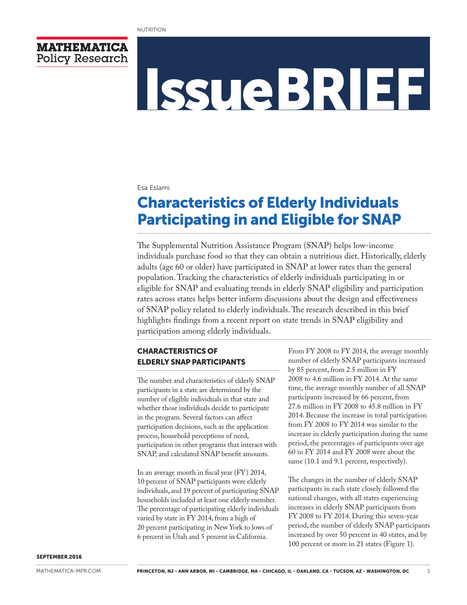

# IssueBRIEF

#### Esa Eslami

# Characteristics of Elderly Individuals Participating in and Eligible for SNAP

The Supplemental Nutrition Assistance Program (SNAP) helps low-income individuals purchase food so that they can obtain a nutritious diet. Historically, elderly adults (age 60 or older) have participated in SNAP at lower rates than the general population. Tracking the characteristics of elderly individuals participating in or eligible for SNAP and evaluating trends in elderly SNAP eligibility and participation rates across states helps better inform discussions about the design and effectiveness of SNAP policy related to elderly individuals. The research described in this brief highlights findings from a recent report on state trends in SNAP eligibility and participation among elderly individuals.

# CHARACTERISTICS OF ELDERLY SNAP PARTICIPANTS

The number and characteristics of elderly SNAP participants in a state are determined by the number of eligible individuals in that state and whether those individuals decide to participate in the program. Several factors can affect participation decisions, such as the application process, household perceptions of need, participation in other programs that interact with SNAP, and calculated SNAP benefit amounts.

In an average month in fiscal year (FY) 2014, 10 percent of SNAP participants were elderly individuals, and 19 percent of participating SNAP households included at least one elderly member. The percentage of participating elderly individuals varied by state in FY 2014, from a high of 20 percent participating in New York to lows of 6 percent in Utah and 5 percent in California.

From FY 2008 to FY 2014, the average monthly number of elderly SNAP participants increased by 85 percent, from 2.5 million in FY 2008 to 4.6 million in FY 2014. At the same time, the average monthly number of all SNAP participants increased by 66 percent, from 27.6 million in FY 2008 to 45.8 million in FY 2014. Because the increase in total participation from FY 2008 to FY 2014 was similar to the increase in elderly participation during the same period, the percentages of participants over age 60 in FY 2014 and FY 2008 were about the same (10.1 and 9.1 percent, respectively).

The changes in the number of elderly SNAP participants in each state closely followed the national changes, with all states experiencing increases in elderly SNAP participants from FY 2008 to FY 2014. During this seven-year period, the number of elderly SNAP participants increased by over 50 percent in 40 states, and by 100 percent or more in 21 states (Figure 1).

#### SEPTEMBER 2016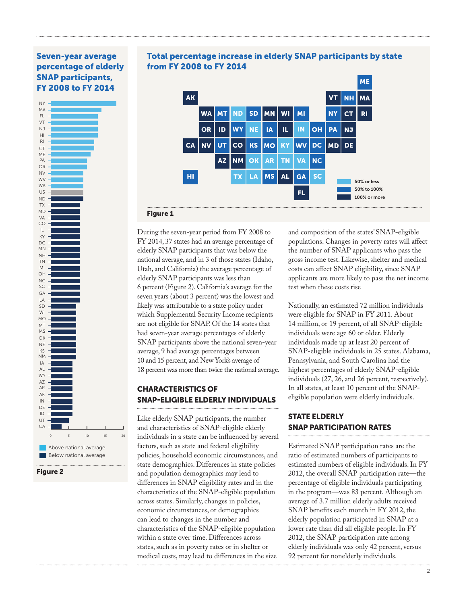# Seven-year average percentage of elderly SNAP participants, FY 2008 to FY 2014





# ME Total percentage increase in elderly SNAP participants by state from FY 2008 to FY 2014



#### Figure 1

During the seven-year period from FY 2008 to FY 2014, 37 states had an average percentage of elderly SNAP participants that was below the national average, and in 3 of those states (Idaho, Utah, and California) the average percentage of elderly SNAP participants was less than 6 percent (Figure 2). California's average for the seven years (about 3 percent) was the lowest and likely was attributable to a state policy under which Supplemental Security Income recipients are not eligible for SNAP. Of the 14 states that had seven-year average percentages of elderly SNAP participants above the national seven-year average, 9 had average percentages between 10 and 15 percent, and New York's average of 18 percent was more than twice the national average.

## CHARACTERISTICS OF SNAP-ELIGIBLE ELDERLY INDIVIDUALS

Like elderly SNAP participants, the number and characteristics of SNAP-eligible elderly individuals in a state can be influenced by several factors, such as state and federal eligibility policies, household economic circumstances, and state demographics. Differences in state policies and population demographics may lead to differences in SNAP eligibility rates and in the characteristics of the SNAP-eligible population across states. Similarly, changes in policies, economic circumstances, or demographics can lead to changes in the number and characteristics of the SNAP-eligible population within a state over time. Differences across states, such as in poverty rates or in shelter or medical costs, may lead to differences in the size

and composition of the states' SNAP-eligible populations. Changes in poverty rates will affect the number of SNAP applicants who pass the gross income test. Likewise, shelter and medical costs can affect SNAP eligibility, since SNAP applicants are more likely to pass the net income test when these costs rise

Nationally, an estimated 72 million individuals were eligible for SNAP in FY 2011. About 14 million, or 19 percent, of all SNAP-eligible individuals were age 60 or older. Elderly individuals made up at least 20 percent of SNAP-eligible individuals in 25 states. Alabama, Pennsylvania, and South Carolina had the highest percentages of elderly SNAP-eligible individuals (27, 26, and 26 percent, respectively). In all states, at least 10 percent of the SNAPeligible population were elderly individuals.

# STATE ELDERLY SNAP PARTICIPATION RATES

Estimated SNAP participation rates are the ratio of estimated numbers of participants to estimated numbers of eligible individuals. In FY 2012, the overall SNAP participation rate—the percentage of eligible individuals participating in the program—was 83 percent. Although an average of 3.7 million elderly adults received SNAP benefits each month in FY 2012, the elderly population participated in SNAP at a lower rate than did all eligible people. In FY 2012, the SNAP participation rate among elderly individuals was only 42 percent, versus 92 percent for nonelderly individuals.